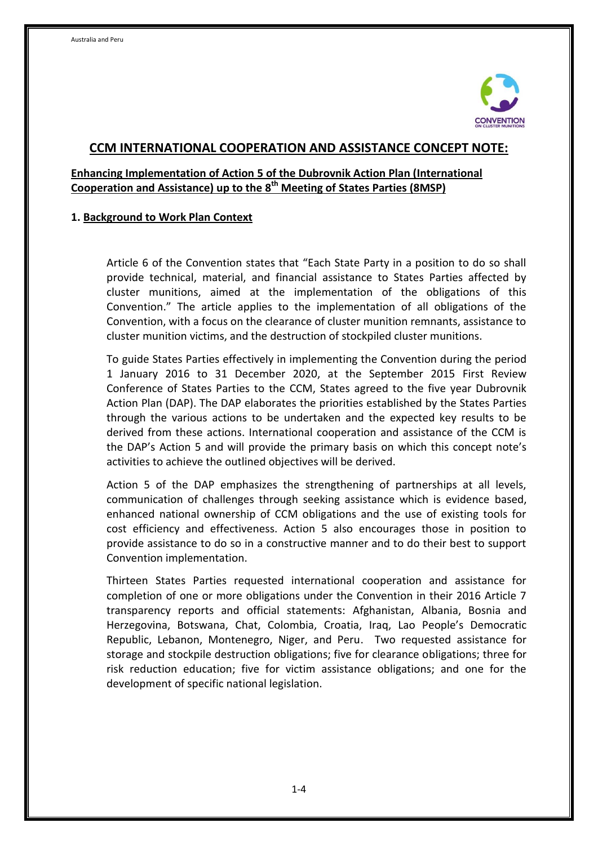

# **CCM INTERNATIONAL COOPERATION AND ASSISTANCE CONCEPT NOTE:**

# **Enhancing Implementation of Action 5 of the Dubrovnik Action Plan (International Cooperation and Assistance) up to the 8 th Meeting of States Parties (8MSP)**

#### **1. Background to Work Plan Context**

Article 6 of the Convention states that "Each State Party in a position to do so shall provide technical, material, and financial assistance to States Parties affected by cluster munitions, aimed at the implementation of the obligations of this Convention." The article applies to the implementation of all obligations of the Convention, with a focus on the clearance of cluster munition remnants, assistance to cluster munition victims, and the destruction of stockpiled cluster munitions.

To guide States Parties effectively in implementing the Convention during the period 1 January 2016 to 31 December 2020, at the September 2015 First Review Conference of States Parties to the CCM, States agreed to the five year Dubrovnik Action Plan (DAP). The DAP elaborates the priorities established by the States Parties through the various actions to be undertaken and the expected key results to be derived from these actions. International cooperation and assistance of the CCM is the DAP's Action 5 and will provide the primary basis on which this concept note's activities to achieve the outlined objectives will be derived.

Action 5 of the DAP emphasizes the strengthening of partnerships at all levels, communication of challenges through seeking assistance which is evidence based, enhanced national ownership of CCM obligations and the use of existing tools for cost efficiency and effectiveness. Action 5 also encourages those in position to provide assistance to do so in a constructive manner and to do their best to support Convention implementation.

Thirteen States Parties requested international cooperation and assistance for completion of one or more obligations under the Convention in their 2016 Article 7 transparency reports and official statements: Afghanistan, Albania, Bosnia and Herzegovina, Botswana, Chat, Colombia, Croatia, Iraq, Lao People's Democratic Republic, Lebanon, Montenegro, Niger, and Peru. Two requested assistance for storage and stockpile destruction obligations; five for clearance obligations; three for risk reduction education; five for victim assistance obligations; and one for the development of specific national legislation.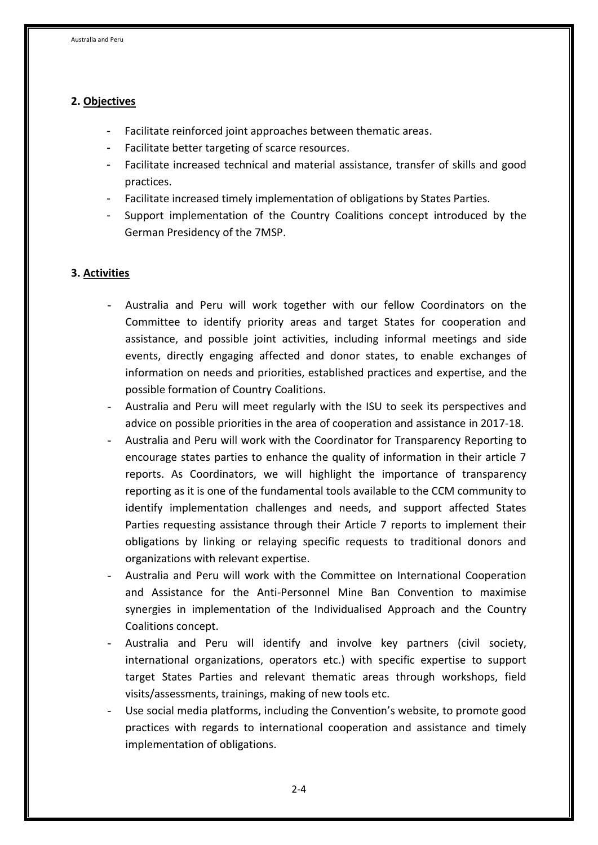## **2. Objectives**

- Facilitate reinforced joint approaches between thematic areas.
- Facilitate better targeting of scarce resources.
- Facilitate increased technical and material assistance, transfer of skills and good practices.
- Facilitate increased timely implementation of obligations by States Parties.
- Support implementation of the Country Coalitions concept introduced by the German Presidency of the 7MSP.

## **3. Activities**

- Australia and Peru will work together with our fellow Coordinators on the Committee to identify priority areas and target States for cooperation and assistance, and possible joint activities, including informal meetings and side events, directly engaging affected and donor states, to enable exchanges of information on needs and priorities, established practices and expertise, and the possible formation of Country Coalitions.
- Australia and Peru will meet regularly with the ISU to seek its perspectives and advice on possible priorities in the area of cooperation and assistance in 2017-18.
- Australia and Peru will work with the Coordinator for Transparency Reporting to encourage states parties to enhance the quality of information in their article 7 reports. As Coordinators, we will highlight the importance of transparency reporting as it is one of the fundamental tools available to the CCM community to identify implementation challenges and needs, and support affected States Parties requesting assistance through their Article 7 reports to implement their obligations by linking or relaying specific requests to traditional donors and organizations with relevant expertise.
- Australia and Peru will work with the Committee on International Cooperation and Assistance for the Anti-Personnel Mine Ban Convention to maximise synergies in implementation of the Individualised Approach and the Country Coalitions concept.
- Australia and Peru will identify and involve key partners (civil society, international organizations, operators etc.) with specific expertise to support target States Parties and relevant thematic areas through workshops, field visits/assessments, trainings, making of new tools etc.
- Use social media platforms, including the Convention's website, to promote good practices with regards to international cooperation and assistance and timely implementation of obligations.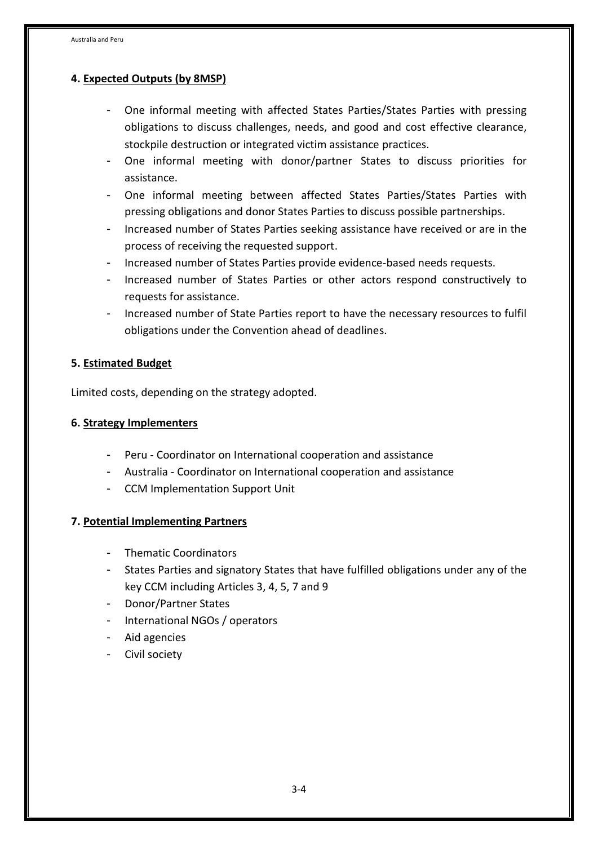## **4. Expected Outputs (by 8MSP)**

- One informal meeting with affected States Parties/States Parties with pressing obligations to discuss challenges, needs, and good and cost effective clearance, stockpile destruction or integrated victim assistance practices.
- One informal meeting with donor/partner States to discuss priorities for assistance.
- One informal meeting between affected States Parties/States Parties with pressing obligations and donor States Parties to discuss possible partnerships.
- Increased number of States Parties seeking assistance have received or are in the process of receiving the requested support.
- Increased number of States Parties provide evidence-based needs requests.
- Increased number of States Parties or other actors respond constructively to requests for assistance.
- Increased number of State Parties report to have the necessary resources to fulfil obligations under the Convention ahead of deadlines.

# **5. Estimated Budget**

Limited costs, depending on the strategy adopted.

## **6. Strategy Implementers**

- Peru Coordinator on International cooperation and assistance
- Australia Coordinator on International cooperation and assistance
- CCM Implementation Support Unit

## **7. Potential Implementing Partners**

- Thematic Coordinators
- States Parties and signatory States that have fulfilled obligations under any of the key CCM including Articles 3, 4, 5, 7 and 9
- Donor/Partner States
- International NGOs / operators
- Aid agencies
- Civil society